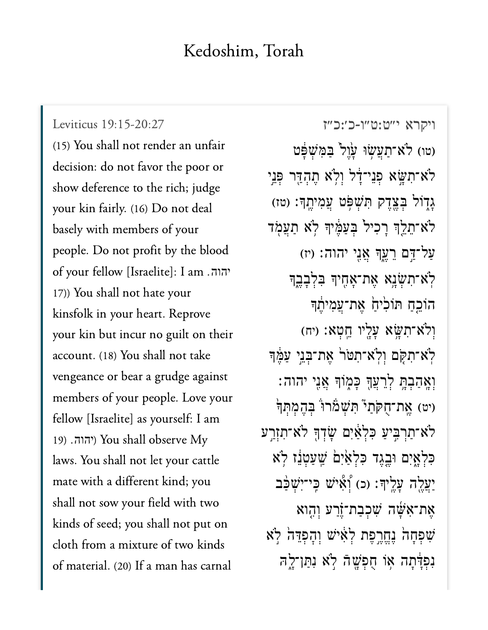## Kedoshim, Torah

[ויקרא י״ט:ט״ו-כ׳:כ״ז](https://www.sefaria.org/Leviticus%2019:15-20:27) [19:15-20:27 Leviticus](https://www.sefaria.org/Leviticus%2019:15-20:27) (15) You shall not render an unfair decision: do not favor the poor or show deference to the rich; judge your kin fairly. (16) Do not deal basely with members of your people. Do not profit by the blood of your fellow [Israelite]: I am .יהוה 17)) You shall not hate your kinsfolk in your heart. Reprove your kin but incur no guilt on their account. (18) You shall not take vengeance or bear a grudge against members of your people. Love your fellow [Israelite] as yourself: I am 19) You shall observe My laws. You shall not let your cattle mate with a different kind; you shall not sow your field with two kinds of seed; you shall not put on cloth from a mixture of two kinds of material. (20) If a man has carnal

וטו) לֹא־תַעֲשׂוּ עָׂוֵל בַּמְּשִׁפָּט ( ֿלֹא־תִשָּׂא פְנֵי־דָר וְלְא תֶהְדֵּר פְּנֵי **ַ**גְדְוֹל בְּצֵדֵק הְּשָׁפָּט עֲמְיֹתֵךְ: (טז) ֹלֹא־תֶלֵךְ רַכִיל בְּעֲמֶ֫יךָ לְא תַעֲמָד  $(i')$  עֲל־דָּם רֵעֱךְּ אֲנֵי יהוה: (יז ַלְׂצִ־תְשָׂנָא אֶת־אָחֶיךָ בִּלְבָבֶךָ הוֹכֵח תּוֹלִיחַׂ אֶת־עֲמִיהֶֽד וְלֹא־תְשֵׂא עַלֵ<sup>י</sup>ו חֵטְא: (יח) ֹלְא־תִקָּם וְלִא־תִטּר אֵת־בְּנֵי עַמֶּךְ ְוָאֲהַבְתֵּ לְרֵעֲךָּ כַּמְוֹךָּ אֲנֵי יהוה: יט) אֱת־חֻקֹּת<sup>ָ</sup> הְּשָׁמֹּרוּ בְּהֶמְתְּךְ<sup>יֹ</sup> ֿלֹא־תַרְבִּיעַ כִּלְאַ֫יִם שָׂדְךָּ לֹא־תִזְרֵע כִּלְאָיִם וּבֵגֵד כִּלְאַ<sup>ׂיְ</sup>ם *ֹ*שֵׁעַטְנֵז לְא ַיַעֲלֵה עָלֵיךָ: (כ) וְאָי*ּׂי*ש כֵּי־יִּשְׁכַּב אֶת־אִּשֶּׁה שִׁכִּבַת־זֶֿרַע וְהֶוא שִׁפְחָה נֵחֱרֱפָּת לְאָישׁ וְהָפְדֵּה לְא נִפְדָּתָה אִו חָפְשֶׁהָ לְא נִתַּן־לָה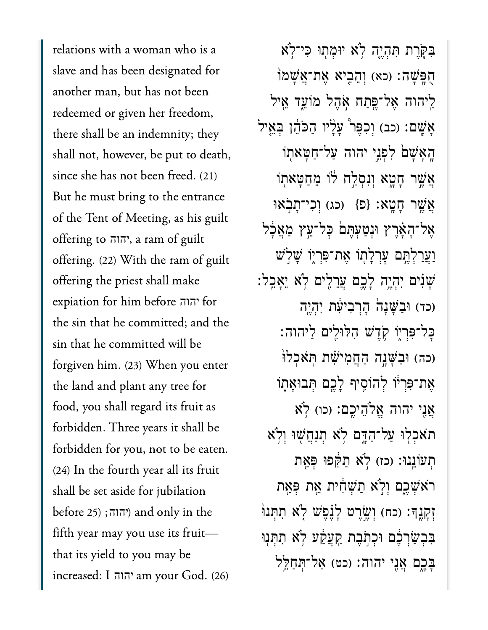relations with a woman who is a slave and has been designated for another man, but has not been redeemed or given her freedom, there shall be an indemnity; they shall not, however, be put to death, since she has not been freed. (21) But he must bring to the entrance of the Tent of Meeting, as his guilt offering to , a ram of guilt יהוה offering. (22) With the ram of guilt offering the priest shall make expiation for him before יהוה for the sin that he committed; and the sin that he committed will be forgiven him. (23) When you enter the land and plant any tree for food, you shall regard its fruit as forbidden. Three years it shall be forbidden for you, not to be eaten. (24) In the fourth year all its fruit shall be set aside for jubilation  $b$ efore 25) (יהוה; (15 $b$ efore 25) fifth year may you use its fruit that its yield to you may be increased: I am your God. (26) יהוה

בִּקְרֵת תְּהָיֵה לְא יוּמְתְוּ כִּי־לְא ּחָפֵּשָׁה: (כא) וְהֶבֵיא אֶת־אֱשָׁמֹוֹ ַלֵּיהוה אֲל־פֵּתַח אֹהֶל מֹוֹעֵד אֵיל אָּשֶׁם: (כב) וְכִפֵּר ּעָלָיו הַכֹּהֶן בְּאֵיל ַּהֲאַשָׁם לִפְנֵי יהוה עַל־חַטַּאתִוֹ ְאֲשֶׁר חָטֶא וְנִסְלַח לּוֹ מֵחַטָּאתְוֹ ְאֲשֶׁר חָטָא: {פ<sup>ָּ</sup>} (כג) וְכִי־תַבְאוּ אֲל־הָאָרֵץ וּנְטַעְתֵּם כַּל־עֵץ מַאֲכָל וַעֲרַלְהֵֵם עַרְלַתוֹ אֶת־פִּרְיִוֹ שַׁלְ<sup>יֹ</sup>ש ֹשֶׁנִים יְהָיֱה לָבֵם עֲרֵלִים לְא יֵאָבֵל: (כד) וּבַשָּׁנָה הָרְבִיעָׁת יִהְיֶה  $\cdot$ כְּל־פְּרְיִוֹ קָדֵשׁ הָלּוּלֵים לַיהוה: (כה) וּבַשֲׁנֵה הַחֲמִישָׁת תְּאֹכְלוֹ ְאֶת־פִּרְיֹּו לְהוֹסֵיף לָבֵם תִּבוּאֲתְוֹ ְאֲנֵי יהוה אֱלֹהֶיכֶם: (כו) לְא תֹאֲכְלְוּ עֲל־הַדָּם לְא תִנְחֲשָׁוּ וְלְא ת עוֹנְנוּ: (כז) לֹא תקֹפוּ פִּאָת ֿרֹא<sup>ָ</sup>שָׁכֶם וְלִא תַּשְׁחִית אֵת פְּאַת זְקַנֵךְ׃ (כח) וְשֵׂרֵט לָּנֶפָּשׁ לָא תִתְּנוּ בִּבְשַׂרְבֶ֫ם וּכְתְֹבֵת קַעֲקַעׁ לְאׁ תִתְּנִוּ ַבְּכֵֵם אֲנֵי יהוה: (כט) אֲל־תְּחַלֵּל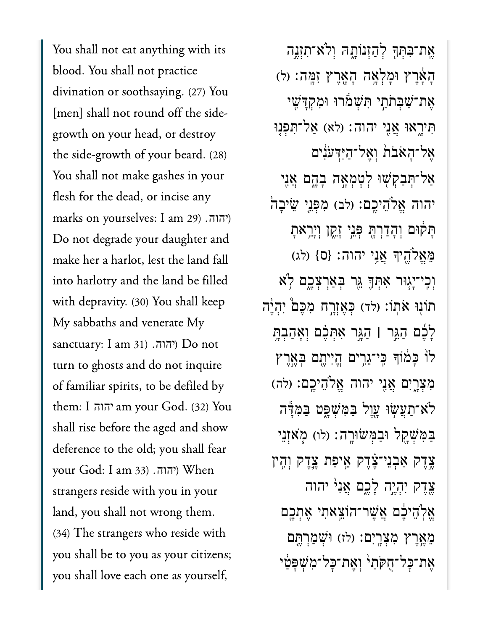You shall not eat anything with its blood. You shall not practice divination or soothsaying. (27) You [men] shall not round off the sidegrowth on your head, or destroy the side-growth of your beard. (28) You shall not make gashes in your flesh for the dead, or incise any marks on yourselves: I am 29) .<mark>יהוה</mark>. Do not degrade your daughter and make her a harlot, lest the land fall into harlotry and the land be filled with depravity. (30) You shall keep My sabbaths and venerate My  $\,$ sanctuary: I am 31) . $\,$ יהוה: Do not turn to ghosts and do not inquire of familiar spirits, to be defiled by them: I am your God. (32) You יהוה shall rise before the aged and show deference to the old; you shall fear your God: I am 33) . איהוה.) When strangers reside with you in your land, you shall not wrong them. (34) The strangers who reside with you shall be to you as your citizens; you shall love each one as yourself,

אֵת־בִּתִּךְּ לְהַזְנוֹתָהּ וְלֹא־תִזְנֵה ָה ָ֔א ֶר ץ ּוָמ ְל ָ֥א ה ָה ָ֖א ֶר ץ ִז ָּֽמ ה׃ )ל( אֶת־שַׁבְּתֹתְי הִּשְׁמֹרוּ וּמִקְדָּשִׁי תִירָאוּ אֲנֵי יהוה: (לֹא) אַל־תְּפְנָוּ ְאֲל־הָאֹבֹת וְאֱל־הַיִּדְעֹנִים אַל־תְּבַקְשָׁוּ לְטָמְאָה בָהֱם אֲנֵי יהוה אֱלֹהֵיכֱם: (לִּב) מִפְּנֵי שֵׂיבָה ּתְקֹוּם וְהָדַרְהָּ פְּנֵי זָקֶן וְיָרֵאתָ הֵאֱלֹהֵיךְ אֲנֵי יהוה: {ס} (לג) וְכֵי־יָגְוּר אִתְךָּ גֵּר בִּאַרִצְכֵם לְא תוֹנְוּ אֹתְוֹ: (לד) כִּאֲזְרֵח מְכֵם יְהָיֵ֔ה לָכֶׁם הַגֵּר | הַגֶּר אִתְּבֶם וְאָהַבְתָּ לוֹ כָּמֹוֹךְּ כֵּי־גֵרֵים הֱזִיּתֵם בְּאֲרֵץ מִצְרֱיִם אֲנֶי יהוה אֱלֹהֵיכֶם: (לה) ּלֹא־תַעֲשׂוּ עֲוֵל בַּמְּשָׁפֵּט בַּמְּיַּדה ַבַּמְּשָׁקֵל וּבַמְּשׂוּרָה: (לו) מְאִזְנֵי ְצֵדֵק אַבְנֵי־צֵּׂדֶק אֵיפַת צֵדֵק וְהֵין צֶדֶק יִהְיֶה לָכֶם אֲנִי יהוה אֱלְהֵיכֶם אֲשֶׁר־הוֹצֵאתִי אֶתְכֵם מְאֵרֵץ מִצְרָיִם: (לז) וּשָׁמַרְתֵּם אַת־כָּל־חָקֹתַי וְאֵת־כָּל־מִשְׁפָּטַי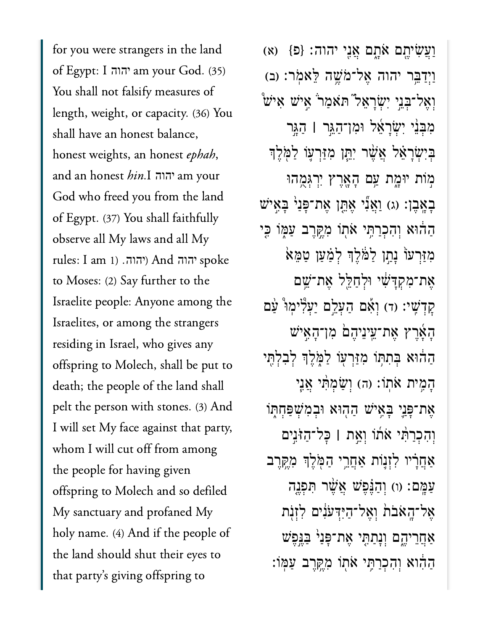for you were strangers in the land of Egypt: I am your God. (35) יהוה You shall not falsify measures of length, weight, or capacity. (36) You shall have an honest balance, honest weights, an honest ephah, and an honest hin.I יהוה am your God who freed you from the land of Egypt. (37) You shall faithfully observe all My laws and all My  $r$ ules: I am 1) יהוה And יהוה spoke to Moses: (2) Say further to the Israelite people: Anyone among the Israelites, or among the strangers residing in Israel, who gives any offspring to Molech, shall be put to death; the people of the land shall pelt the person with stones. (3) And I will set My face against that party, whom I will cut off from among the people for having given offspring to Molech and so defiled My sanctuary and profaned My holy name. (4) And if the people of the land should shut their eyes to that party's giving offspring to

וַעֲשִׂיתֱם אַׂתֱם אֲנֵי יהוה: {פ} (א) וַיִּדַּבֵּר יהוה אֱל־מֹשֵׁה לָּאמִׂר: (ב)  $\mathbf{v}$ וְאֶל־בְּנֵי יְשְׂרָאֵל הַאַמַר ׁאֵישׁ אִיש מִבְּנֵי יִשְׂרָאֵל וּמְן־הַגֵּר | הַגֵּר בִיִּשְׂרָאֵל אֲשֶׁר יִתֵּן מִזַּרְעָוֹ לַמְּלֵךְ מְוֹת יוּמֶת עַם הָאֲרֵץ יִרְגְּמֶהוּ ּבְאֲבֶן: (ג) וַאֲנִי אֶתֱן אֶת־פָּנַי בָּאֶיֹש ְהַהֹּוּא וְהִכְרַתֵּי אֹתוֹ מְקֵרֵב עַמְּוֹ כֵּי ַמְזַרְעֹוֹ נַתֲן לַמֹּלֵךְ לְמָעַן טַמֵּא ֶא ת־ִמ ְק ָּד ִׁ֔ש י ּוְל ַח ֵּ֖ל ל ֶא ת־ֵׁ֥ש ם קִדְּשֵׁי: (ד) וְאָם הַעָּלֵם יַעְלִּימוּ ּעַם ָה ָ֜א ֶר ץ ֶא ת־ֵֽע יֵנ יֶה ֙ם ִמ ן־ָה ִ֣א יׁש ְהַהֹּוּא בְּתִתְּוֹ מְזַּרְעָוֹ לַמְּלֵךְ לְבְלָתֵי הָמֶית אֹתוֹ: (ה) וְשַׂמְתָּי אֲנֵי אֶת־פַּנֵי בַּאֵישׁ הַהִוּא וּבְמְשִׁפַּחִתּוֹ וְהָכְרַתְּי אֹתוֹ וְאֵת | כָּל־הַזֹּנֵים אַחֲרָיו לְזְנֵוֹת אַחֲרֵי הַמְּלֵךְ מְקֵרֵב עַמֶּם: (ו) וְהַנֵּפֵּֽשׁ אֲשֶׁר תִּפְנֵה ְאֲל־הָאָבֿת וְאֱל־הַיִּדְעֹנִים לְזִנְת  $\mu$ אַחֲרֵיהֶם וְנָתַתֶּי אֶת־פְּנַיׁ בַּגֶּפֶשׁ ַהְהֶּוֹא וְהָכְרַתֵּי אֹתוֹ מְקֵרֶב עַמּֽוֹ: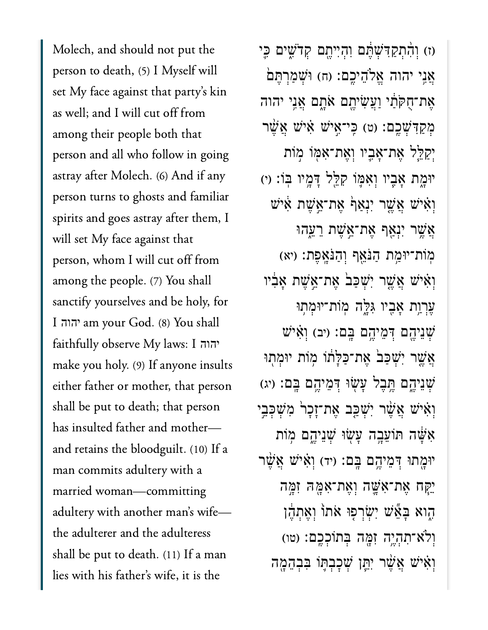Molech, and should not put the person to death, (5) I Myself will set My face against that party's kin as well; and I will cut off from among their people both that person and all who follow in going astray after Molech. (6) And if any person turns to ghosts and familiar spirits and goes astray after them, I will set My face against that person, whom I will cut off from among the people. (7) You shall sanctify yourselves and be holy, for I am your God. (8) You shall יהוה faithfully observe My laws: I יהוהmake you holy. (9) If anyone insults either father or mother, that person shall be put to death; that person has insulted father and mother and retains the bloodguilt. (10) If a man commits adultery with a married woman—committing adultery with another man's wife the adulterer and the adulteress shall be put to death. (11) If a man lies with his father's wife, it is the

)ז( ְו ִ֨ה ְת ַק ִּד ְׁש ֶּ֔ת ם ִו ְה ִי יֶ֖ת ם ְק ֹד ִׁ֑ש ים ִּ֛כ י  $i$ גֲנִי יהוה אֱלֹהֶיכֱם: (ח) וּשָׁמַרְתֵּם ָאֶת־חָקּתַ֫י וַעֲשִׂיהֱם אַׂתֲם אֱנֵי יהוה ְמְקַדְּשָׁבֵם: (ט) כֵּי־אֱיֹשׁ אָ֫יֹש אֲשֶׁר יִקַלֵּל אֶת־אָבֵיו וְאֶת־אָמֶוֹ מְוֹת יּוּמָת אָבֶיו וְאָמֶוֹ קִלֵּל דָּמֶיו בְּוֹ: (י) וַאִישׁ אֲשֶׁר יִנְאַף אֶת־אֱשֶׁת אִיש ָאֲשֶׁר יִנְאַף אֶת־אֱשֶׁת רֵעֱהוּ ְמְוֹת־יִּוּמָת הַּנֹּאֵף וְהַנֹּאֲפֶת: (יא וְאִישׁ אֲשֱר יִשְׁכַּבׂ אֱת־אֱשֶׁת אַבְֿיו עִרְוַת אַבֵיו גִּלֵּה מְוֹת־יוּמְתִוּ  $\psi$ יִמֶּה הָמֵיהֵם בַּם: (יִב) וְאִישׁ אֲשֶׁר יְשָׁכַּב אֶת־כַּלַּתוֹ מְוֹת יוּמְתְוּ ֹשְׁנֵיהֵם תֵּבֵל עָשְׂוּ דִּמֵיהֵם בֵּם: (יג) וְאִיּשׁ אֲשֶׁר יִּשְׁכֵּב אֵת־זָכַר מִשְׁכִּבֵי אִשָּׁה תּוֹעֵבָה עָשִׂוּ שִׁנֵיהֵם מְוֹת יּוּמֳתוּ דְּמֵיהֶם בְּם: (יד) וְאִיּשׁ אֲשֶׁר ַּיִּקָּה אֶת־אָשֱׁה וְאֶת־אָמֶּהּ זִמֶּה ְהָוא בַּאֱּשׁ יִשְׂרְפִוּ אֹתוֹ וְאֵתְהֶן וְלֹא־תְהָיֵה זְמֶה בְּתוֹכְכֵם: (טו) וְאִיּשׁ אֲשֶׁר יִתֵּן שְׁכַבְתֵּו בְּבְהֶמֶה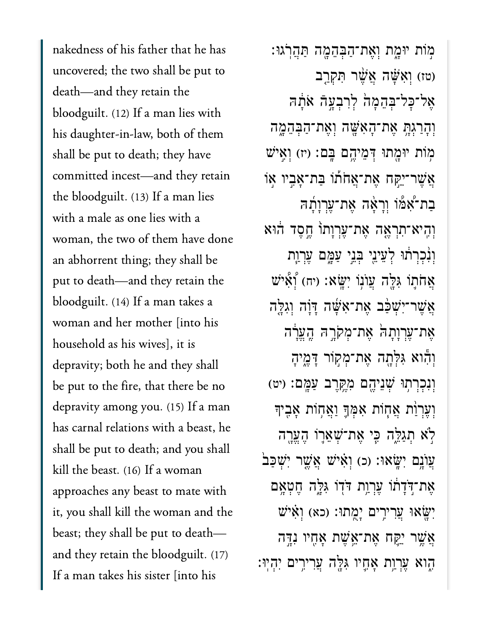nakedness of his father that he has uncovered; the two shall be put to death—and they retain the bloodguilt. (12) If a man lies with his daughter-in-law, both of them shall be put to death; they have committed incest—and they retain the bloodguilt. (13) If a man lies with a male as one lies with a woman, the two of them have done an abhorrent thing; they shall be put to death—and they retain the bloodguilt. (14) If a man takes a woman and her mother [into his household as his wives], it is depravity; both he and they shall be put to the fire, that there be no depravity among you. (15) If a man has carnal relations with a beast, he shall be put to death; and you shall kill the beast. (16) If a woman approaches any beast to mate with it, you shall kill the woman and the beast; they shall be put to death and they retain the bloodguilt. (17) If a man takes his sister [into his

ּמְוֹת יּוּמֶת וְאֵת־הַבְּהֵמֶה תַּהֲרֹגוּ: (טז) וְאָשָּׁה אֲשֶׁר תְּקְרֵב ְאֲל־כָּל־בִּהֶמָה לְרָבְעָהָ אֹתָה וְהָרַגְּהָ אֶת־הָאָשֶׁה וְאֵת־הַבְּהֶמֶה ֹמְוֹת יּוּמֶתוּ דְּמֵיהֱם בֶּם: (יז) וְאֵישׁ ֿאֲשֶׁר־יַקָּח אֱת־אֱחֹתוֹ בַּת־אֲבֶיו אָו בַת־אָמו וְרָאָה אֶת־עֲרְוָתָה וְהֵיא־תִרְאֱה אֶת־עֲרְוַתוֹ חֱסֶד הוּא וְנִ֫כְרְתוּ לְעֵינֵי בְּנֵי עַמֱם עֶרְוַת  $\mathbf{z}$ הֹתוֹ גִּלֵּה עֲוֹנוֹ יִשָּׂא: (יִח) יְאָישׁ אֲשֶׁר־יִּשְׁכָּ֫ב אֱת־אָּשֶּׁה דַּוַּה וְגִלֵּה ָאֱת־עֲרְוַתַהׂ אֱת־מְקֹרֶהּ הֱעֱרה וְהָוא גִּלְתָה אֵת־מִקְוֹר דָּמֵיהַ וְנְכְרְתְוּ שָׁנֵיהֵם מְקֵרֶב עַמֲם: (יט) וְעֵר<u>ו</u>ֹת אֲחָוֹת אָמְךָּ וַאֲחָוֹת אָבִיך לְא תִגַלֵּה כִּי אֵת־שָׁאֵרֶוֹ הֵעֵרָה ְעֲוֹנֵם יְשֵׂאוּ: (כ) וְאִיּשׁ אֲשֶׁר יְשְׁכַּב אֶת־דָּדְתוֹ עֶרְוַת דֹּדְוֹ גִּלֶה חֵטְאָם יִּשְׂאוּ עֲרִירִים יָמֻתוּ: (כא) וְאִישׁ אֲשֱר יִיקֵח אֶת־אֱשֶׁת אָחֶיו נִדֶּה ּהָוא עִרְוַת אָחֱיו גִּלֵּה עֲרִירֵים יִהְיְוּ׃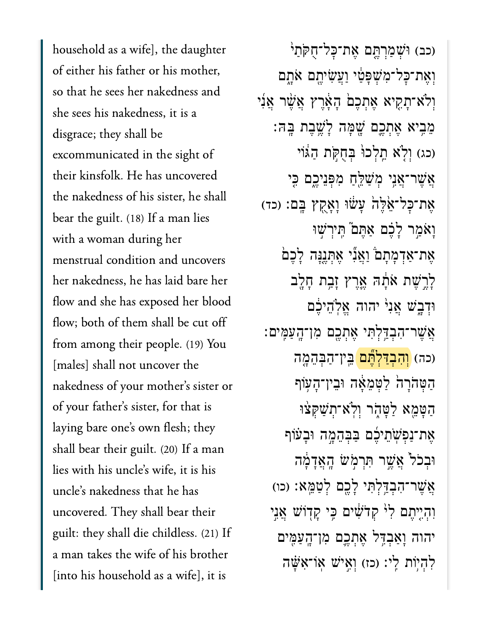household as a wife], the daughter of either his father or his mother, so that he sees her nakedness and she sees his nakedness, it is a disgrace; they shall be excommunicated in the sight of their kinsfolk. He has uncovered the nakedness of his sister, he shall bear the guilt. (18) If a man lies with a woman during her menstrual condition and uncovers her nakedness, he has laid bare her flow and she has exposed her blood flow; both of them shall be cut off from among their people. (19) You [males] shall not uncover the nakedness of your mother's sister or of your father's sister, for that is laying bare one's own flesh; they shall bear their guilt. (20) If a man lies with his uncle's wife, it is his uncle's nakedness that he has uncovered. They shall bear their guilt: they shall die childless. (21) If a man takes the wife of his brother [into his household as a wife], it is

(כב) וּשָׁמַרְתֵּם אֶת־כָּל־חָקֹתַי וְאֵת־כָּל־מִ<sup>ּ</sup>שָׁפָּטֵ֫י וַעֲשִׂיהֶם אֹתֱם ֿוְלֹא־תָקִיא אֶתְכֶם הָאֶרֶץ אֲשֶׁר אֲנִי ֵמִ֥ביא ֶאְתֶ֛כם ָׁ֖שָּמה ָלֶׁ֥שֶבת ָּֽבּה׃ (כג) וְלָׂא חֱלְכוּ בְּחִקְת הַגּוֹי אֲשֶׁר־אֲנִי מְשַׁלֵּחַ מְפָּנִיכֶם כִּי אֶת־כָּל־אֱ*יֶּ*לָה עָשׁׂוּ וָאָקֶץ בֶּם: (כד) וַאֹמַר לָבֶׁם אַתֵּם תֵּיִרְשׁוּ אֶת־אַדְמָתָם וַאֲנִי אֶתְנֵנָּה לָכֶם ַלְרֵשֶׁת אֹתָ֫הּ אֱרֵץ זַבֵּת חָלֵב וּדְבֶשׁ אֲנִ<sup>וְ</sup> יהוה אֵלְהֵיכֵם ֲאֶׁשר־ִהְבַּ֥דְלִּתי ֶאְתֶ֖כם ִמן־ָֽהַעִּֽמים׃ (כה) <mark>(וְהָבְדַלְתֶּֽם</mark> בֵּין־הַבְּהֵמֶה הַטְּהֹרָה לַטְמֵאָה וּבֵין־הָעָוֹף הַטָּמֵא לַטָּהָר וְלֹא־תִשַׁקִּצּוּ אֶת־נַפִ<sup>ּ</sup>שָׂתֵיכֶۢם בַּבְּהֶמֶה וּבָעֹוֹף ּוְבֹכ֙ל ֲאֶׁ֣שר ִּתְרֹ֣מׂש ָֽהֲאָדָ֔מה **ָאֲשֶׁר־הִבְדַּלְתִּי לָכֶם לְטַמֱא: (כו**) וְהִיִיְתֵם לִ<sup>וּ</sup> קִדֹּשִׁ֫יִם כֵּי קַדְּוֹשׁ אֲנֵי יהוה ָוַאְבִּ֥דל ֶאְתֶ֛כם ִמן־ָֽהַעִּ֖מים לְהָיִוֹת לֵי: (כז) וְאֵישׁ אָוֹ־אֲשֶׁה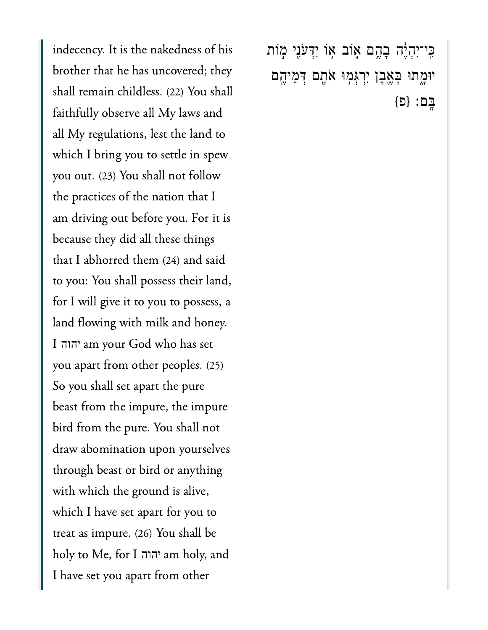indecency. It is the nakedness of his brother that he has uncovered; they shall remain childless. (22) You shall faithfully observe all My laws and all My regulations, lest the land to which I bring you to settle in spew you out. (23) You shall not follow the practices of the nation that I am driving out before you. For it is because they did all these things that I abhorred them (24) and said to you: You shall possess their land, for I will give it to you to possess, a land flowing with milk and honey. I am your God who has set יהוה you apart from other peoples. (25) So you shall set apart the pure beast from the impure, the impure bird from the pure. You shall not draw abomination upon yourselves through beast or bird or anything with which the ground is alive, which I have set apart for you to treat as impure. (26) You shall be holy to Me, for I am holy, and יהוהI have set you apart from other

ַּכְּי־יִהְיֶּה בְהֶם אֶוֹב אָוֹ יִדְּעֹנָי מְוֹת יּוּמֶתוּ בְּאֶבֶן יִרְגְּמִוּ אֹתֶם דְּמֵיהֶם  ${D}$